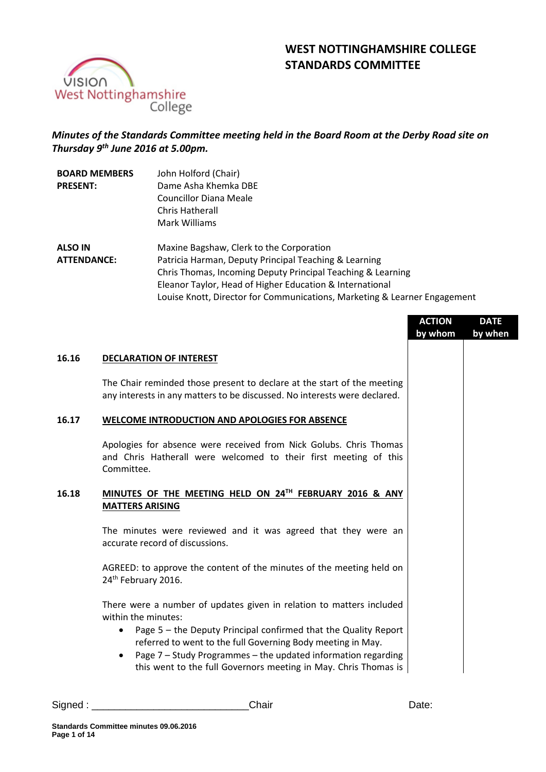# **WEST NOTTINGHAMSHIRE COLLEGE STANDARDS COMMITTEE**



## *Minutes of the Standards Committee meeting held in the Board Room at the Derby Road site on Thursday 9 th June 2016 at 5.00pm.*

| <b>BOARD MEMBERS</b> | John Holford (Chair)                                                      |
|----------------------|---------------------------------------------------------------------------|
| <b>PRESENT:</b>      | Dame Asha Khemka DBE                                                      |
|                      | <b>Councillor Diana Meale</b>                                             |
|                      | Chris Hatherall                                                           |
|                      | Mark Williams                                                             |
| <b>ALSO IN</b>       | Maxine Bagshaw, Clerk to the Corporation                                  |
| <b>ATTENDANCE:</b>   | Patricia Harman, Deputy Principal Teaching & Learning                     |
|                      | Chris Thomas, Incoming Deputy Principal Teaching & Learning               |
|                      | Eleanor Taylor, Head of Higher Education & International                  |
|                      | Louise Knott, Director for Communications, Marketing & Learner Engagement |

|       |                                                                                                                                                                                                                                                                                                                                                                   | <b>ACTION</b><br>by whom | <b>DATE</b><br>by when |
|-------|-------------------------------------------------------------------------------------------------------------------------------------------------------------------------------------------------------------------------------------------------------------------------------------------------------------------------------------------------------------------|--------------------------|------------------------|
| 16.16 | <b>DECLARATION OF INTEREST</b>                                                                                                                                                                                                                                                                                                                                    |                          |                        |
|       | The Chair reminded those present to declare at the start of the meeting<br>any interests in any matters to be discussed. No interests were declared.                                                                                                                                                                                                              |                          |                        |
| 16.17 | <b>WELCOME INTRODUCTION AND APOLOGIES FOR ABSENCE</b>                                                                                                                                                                                                                                                                                                             |                          |                        |
|       | Apologies for absence were received from Nick Golubs. Chris Thomas<br>and Chris Hatherall were welcomed to their first meeting of this<br>Committee.                                                                                                                                                                                                              |                          |                        |
| 16.18 | MINUTES OF THE MEETING HELD ON 24TH FEBRUARY 2016 & ANY<br><b>MATTERS ARISING</b>                                                                                                                                                                                                                                                                                 |                          |                        |
|       | The minutes were reviewed and it was agreed that they were an<br>accurate record of discussions.                                                                                                                                                                                                                                                                  |                          |                        |
|       | AGREED: to approve the content of the minutes of the meeting held on<br>24th February 2016.                                                                                                                                                                                                                                                                       |                          |                        |
|       | There were a number of updates given in relation to matters included<br>within the minutes:<br>Page 5 - the Deputy Principal confirmed that the Quality Report<br>referred to went to the full Governing Body meeting in May.<br>Page 7 - Study Programmes - the updated information regarding<br>this went to the full Governors meeting in May. Chris Thomas is |                          |                        |

Signed : \_\_\_\_\_\_\_\_\_\_\_\_\_\_\_\_\_\_\_\_\_\_\_\_\_\_\_\_Chair Date: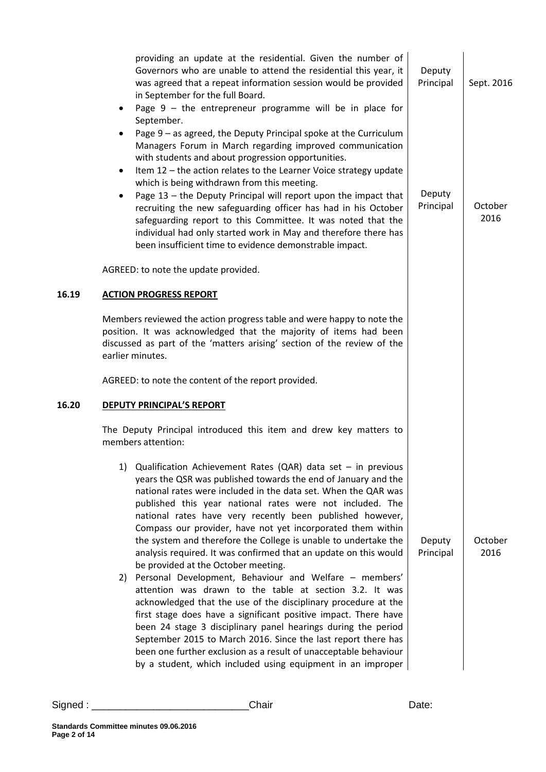|       | providing an update at the residential. Given the number of<br>Governors who are unable to attend the residential this year, it<br>was agreed that a repeat information session would be provided<br>in September for the full Board.<br>Page $9$ – the entrepreneur programme will be in place for<br>٠<br>September.<br>Page 9 - as agreed, the Deputy Principal spoke at the Curriculum<br>$\bullet$<br>Managers Forum in March regarding improved communication<br>with students and about progression opportunities.<br>Item 12 - the action relates to the Learner Voice strategy update<br>$\bullet$<br>which is being withdrawn from this meeting.<br>Page 13 - the Deputy Principal will report upon the impact that<br>$\bullet$<br>recruiting the new safeguarding officer has had in his October<br>safeguarding report to this Committee. It was noted that the<br>individual had only started work in May and therefore there has<br>been insufficient time to evidence demonstrable impact.                                                                                                           | Deputy<br>Principal<br>Deputy<br>Principal | Sept. 2016<br>October<br>2016 |
|-------|----------------------------------------------------------------------------------------------------------------------------------------------------------------------------------------------------------------------------------------------------------------------------------------------------------------------------------------------------------------------------------------------------------------------------------------------------------------------------------------------------------------------------------------------------------------------------------------------------------------------------------------------------------------------------------------------------------------------------------------------------------------------------------------------------------------------------------------------------------------------------------------------------------------------------------------------------------------------------------------------------------------------------------------------------------------------------------------------------------------------|--------------------------------------------|-------------------------------|
|       | AGREED: to note the update provided.                                                                                                                                                                                                                                                                                                                                                                                                                                                                                                                                                                                                                                                                                                                                                                                                                                                                                                                                                                                                                                                                                 |                                            |                               |
| 16.19 | <b>ACTION PROGRESS REPORT</b>                                                                                                                                                                                                                                                                                                                                                                                                                                                                                                                                                                                                                                                                                                                                                                                                                                                                                                                                                                                                                                                                                        |                                            |                               |
|       | Members reviewed the action progress table and were happy to note the<br>position. It was acknowledged that the majority of items had been<br>discussed as part of the 'matters arising' section of the review of the<br>earlier minutes.                                                                                                                                                                                                                                                                                                                                                                                                                                                                                                                                                                                                                                                                                                                                                                                                                                                                            |                                            |                               |
|       | AGREED: to note the content of the report provided.                                                                                                                                                                                                                                                                                                                                                                                                                                                                                                                                                                                                                                                                                                                                                                                                                                                                                                                                                                                                                                                                  |                                            |                               |
| 16.20 | <b>DEPUTY PRINCIPAL'S REPORT</b>                                                                                                                                                                                                                                                                                                                                                                                                                                                                                                                                                                                                                                                                                                                                                                                                                                                                                                                                                                                                                                                                                     |                                            |                               |
|       | The Deputy Principal introduced this item and drew key matters to<br>members attention:                                                                                                                                                                                                                                                                                                                                                                                                                                                                                                                                                                                                                                                                                                                                                                                                                                                                                                                                                                                                                              |                                            |                               |
|       | Qualification Achievement Rates (QAR) data set $-$ in previous<br>1)<br>years the QSR was published towards the end of January and the<br>national rates were included in the data set. When the QAR was<br>published this year national rates were not included. The<br>national rates have very recently been published however,<br>Compass our provider, have not yet incorporated them within<br>the system and therefore the College is unable to undertake the<br>analysis required. It was confirmed that an update on this would<br>be provided at the October meeting.<br>Personal Development, Behaviour and Welfare - members'<br>2)<br>attention was drawn to the table at section 3.2. It was<br>acknowledged that the use of the disciplinary procedure at the<br>first stage does have a significant positive impact. There have<br>been 24 stage 3 disciplinary panel hearings during the period<br>September 2015 to March 2016. Since the last report there has<br>been one further exclusion as a result of unacceptable behaviour<br>by a student, which included using equipment in an improper | Deputy<br>Principal                        | October<br>2016               |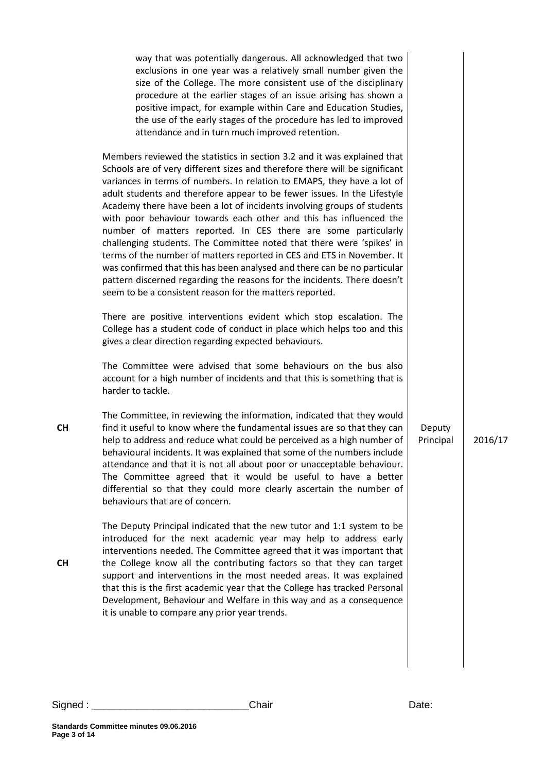| way that was potentially dangerous. All acknowledged that two<br>exclusions in one year was a relatively small number given the<br>size of the College. The more consistent use of the disciplinary<br>procedure at the earlier stages of an issue arising has shown a<br>positive impact, for example within Care and Education Studies,<br>the use of the early stages of the procedure has led to improved<br>attendance and in turn much improved retention.                                                                                                                                                                                                                                                                                                                                                                                                                                         |                     |         |
|----------------------------------------------------------------------------------------------------------------------------------------------------------------------------------------------------------------------------------------------------------------------------------------------------------------------------------------------------------------------------------------------------------------------------------------------------------------------------------------------------------------------------------------------------------------------------------------------------------------------------------------------------------------------------------------------------------------------------------------------------------------------------------------------------------------------------------------------------------------------------------------------------------|---------------------|---------|
| Members reviewed the statistics in section 3.2 and it was explained that<br>Schools are of very different sizes and therefore there will be significant<br>variances in terms of numbers. In relation to EMAPS, they have a lot of<br>adult students and therefore appear to be fewer issues. In the Lifestyle<br>Academy there have been a lot of incidents involving groups of students<br>with poor behaviour towards each other and this has influenced the<br>number of matters reported. In CES there are some particularly<br>challenging students. The Committee noted that there were 'spikes' in<br>terms of the number of matters reported in CES and ETS in November. It<br>was confirmed that this has been analysed and there can be no particular<br>pattern discerned regarding the reasons for the incidents. There doesn't<br>seem to be a consistent reason for the matters reported. |                     |         |
| There are positive interventions evident which stop escalation. The<br>College has a student code of conduct in place which helps too and this<br>gives a clear direction regarding expected behaviours.                                                                                                                                                                                                                                                                                                                                                                                                                                                                                                                                                                                                                                                                                                 |                     |         |
| The Committee were advised that some behaviours on the bus also<br>account for a high number of incidents and that this is something that is<br>harder to tackle.                                                                                                                                                                                                                                                                                                                                                                                                                                                                                                                                                                                                                                                                                                                                        |                     |         |
| The Committee, in reviewing the information, indicated that they would<br>find it useful to know where the fundamental issues are so that they can<br>help to address and reduce what could be perceived as a high number of<br>behavioural incidents. It was explained that some of the numbers include<br>attendance and that it is not all about poor or unacceptable behaviour.<br>The Committee agreed that it would be useful to have a better<br>differential so that they could more clearly ascertain the number of<br>behaviours that are of concern.                                                                                                                                                                                                                                                                                                                                          | Deputy<br>Principal | 2016/17 |
| The Deputy Principal indicated that the new tutor and 1:1 system to be<br>introduced for the next academic year may help to address early<br>interventions needed. The Committee agreed that it was important that<br>the College know all the contributing factors so that they can target<br>support and interventions in the most needed areas. It was explained<br>that this is the first academic year that the College has tracked Personal<br>Development, Behaviour and Welfare in this way and as a consequence<br>it is unable to compare any prior year trends.                                                                                                                                                                                                                                                                                                                               |                     |         |
|                                                                                                                                                                                                                                                                                                                                                                                                                                                                                                                                                                                                                                                                                                                                                                                                                                                                                                          |                     |         |

**CH**

**CH**

**Page 3 of 14**

**Standards Committee minutes 09.06.2016**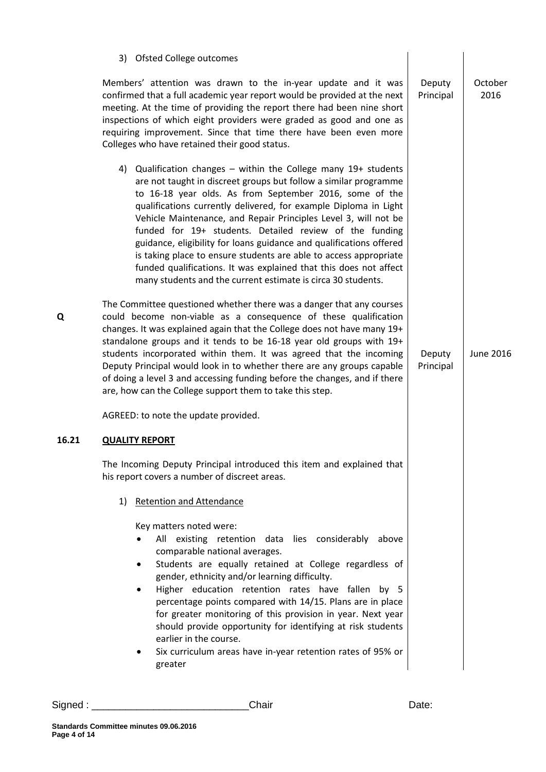|       | 3) Ofsted College outcomes                                                                                                                                                                                                                                                                                                                                                                                                                                                                                                                                                                                                                                                        |                     |                  |
|-------|-----------------------------------------------------------------------------------------------------------------------------------------------------------------------------------------------------------------------------------------------------------------------------------------------------------------------------------------------------------------------------------------------------------------------------------------------------------------------------------------------------------------------------------------------------------------------------------------------------------------------------------------------------------------------------------|---------------------|------------------|
|       | Members' attention was drawn to the in-year update and it was<br>confirmed that a full academic year report would be provided at the next<br>meeting. At the time of providing the report there had been nine short<br>inspections of which eight providers were graded as good and one as<br>requiring improvement. Since that time there have been even more<br>Colleges who have retained their good status.                                                                                                                                                                                                                                                                   | Deputy<br>Principal | October<br>2016  |
|       | 4) Qualification changes - within the College many 19+ students<br>are not taught in discreet groups but follow a similar programme<br>to 16-18 year olds. As from September 2016, some of the<br>qualifications currently delivered, for example Diploma in Light<br>Vehicle Maintenance, and Repair Principles Level 3, will not be<br>funded for 19+ students. Detailed review of the funding<br>guidance, eligibility for loans guidance and qualifications offered<br>is taking place to ensure students are able to access appropriate<br>funded qualifications. It was explained that this does not affect<br>many students and the current estimate is circa 30 students. |                     |                  |
| Q     | The Committee questioned whether there was a danger that any courses<br>could become non-viable as a consequence of these qualification<br>changes. It was explained again that the College does not have many 19+<br>standalone groups and it tends to be 16-18 year old groups with 19+<br>students incorporated within them. It was agreed that the incoming<br>Deputy Principal would look in to whether there are any groups capable<br>of doing a level 3 and accessing funding before the changes, and if there<br>are, how can the College support them to take this step.                                                                                                | Deputy<br>Principal | <b>June 2016</b> |
|       | AGREED: to note the update provided.                                                                                                                                                                                                                                                                                                                                                                                                                                                                                                                                                                                                                                              |                     |                  |
| 16.21 | <b>QUALITY REPORT</b>                                                                                                                                                                                                                                                                                                                                                                                                                                                                                                                                                                                                                                                             |                     |                  |
|       | The Incoming Deputy Principal introduced this item and explained that<br>his report covers a number of discreet areas.                                                                                                                                                                                                                                                                                                                                                                                                                                                                                                                                                            |                     |                  |
|       | <b>Retention and Attendance</b><br>1)                                                                                                                                                                                                                                                                                                                                                                                                                                                                                                                                                                                                                                             |                     |                  |
|       | Key matters noted were:<br>All existing retention data lies considerably above<br>comparable national averages.<br>Students are equally retained at College regardless of<br>٠<br>gender, ethnicity and/or learning difficulty.<br>Higher education retention rates have fallen by 5<br>percentage points compared with 14/15. Plans are in place<br>for greater monitoring of this provision in year. Next year<br>should provide opportunity for identifying at risk students<br>earlier in the course.<br>Six curriculum areas have in-year retention rates of 95% or<br>greater                                                                                               |                     |                  |

Signed : \_\_\_\_\_\_\_\_\_\_\_\_\_\_\_\_\_\_\_\_\_\_\_\_\_\_\_\_Chair Date: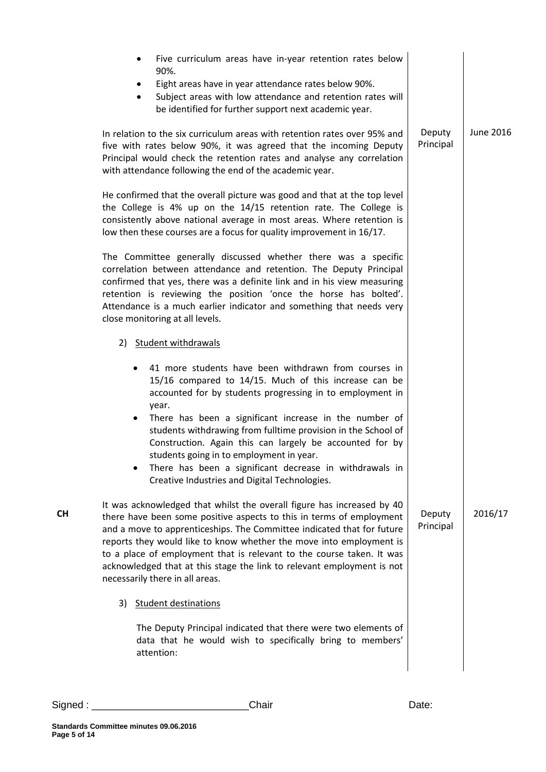| Five curriculum areas have in-year retention rates below<br>$\bullet$<br>90%.<br>Eight areas have in year attendance rates below 90%.<br>Subject areas with low attendance and retention rates will<br>$\bullet$<br>be identified for further support next academic year.                                                                                                                                                                                                                                                                       |                     |           |
|-------------------------------------------------------------------------------------------------------------------------------------------------------------------------------------------------------------------------------------------------------------------------------------------------------------------------------------------------------------------------------------------------------------------------------------------------------------------------------------------------------------------------------------------------|---------------------|-----------|
| In relation to the six curriculum areas with retention rates over 95% and<br>five with rates below 90%, it was agreed that the incoming Deputy<br>Principal would check the retention rates and analyse any correlation<br>with attendance following the end of the academic year.                                                                                                                                                                                                                                                              | Deputy<br>Principal | June 2016 |
| He confirmed that the overall picture was good and that at the top level<br>the College is 4% up on the 14/15 retention rate. The College is<br>consistently above national average in most areas. Where retention is<br>low then these courses are a focus for quality improvement in 16/17.                                                                                                                                                                                                                                                   |                     |           |
| The Committee generally discussed whether there was a specific<br>correlation between attendance and retention. The Deputy Principal<br>confirmed that yes, there was a definite link and in his view measuring<br>retention is reviewing the position 'once the horse has bolted'.<br>Attendance is a much earlier indicator and something that needs very<br>close monitoring at all levels.                                                                                                                                                  |                     |           |
| 2) Student withdrawals                                                                                                                                                                                                                                                                                                                                                                                                                                                                                                                          |                     |           |
| 41 more students have been withdrawn from courses in<br>15/16 compared to 14/15. Much of this increase can be<br>accounted for by students progressing in to employment in<br>year.<br>There has been a significant increase in the number of<br>$\bullet$<br>students withdrawing from fulltime provision in the School of<br>Construction. Again this can largely be accounted for by<br>students going in to employment in year.<br>There has been a significant decrease in withdrawals in<br>Creative Industries and Digital Technologies. |                     |           |
| It was acknowledged that whilst the overall figure has increased by 40<br>there have been some positive aspects to this in terms of employment<br>and a move to apprenticeships. The Committee indicated that for future<br>reports they would like to know whether the move into employment is<br>to a place of employment that is relevant to the course taken. It was<br>acknowledged that at this stage the link to relevant employment is not<br>necessarily there in all areas.                                                           | Deputy<br>Principal | 2016/17   |
| 3)<br><b>Student destinations</b>                                                                                                                                                                                                                                                                                                                                                                                                                                                                                                               |                     |           |
| The Deputy Principal indicated that there were two elements of<br>data that he would wish to specifically bring to members'<br>attention:                                                                                                                                                                                                                                                                                                                                                                                                       |                     |           |

**CH**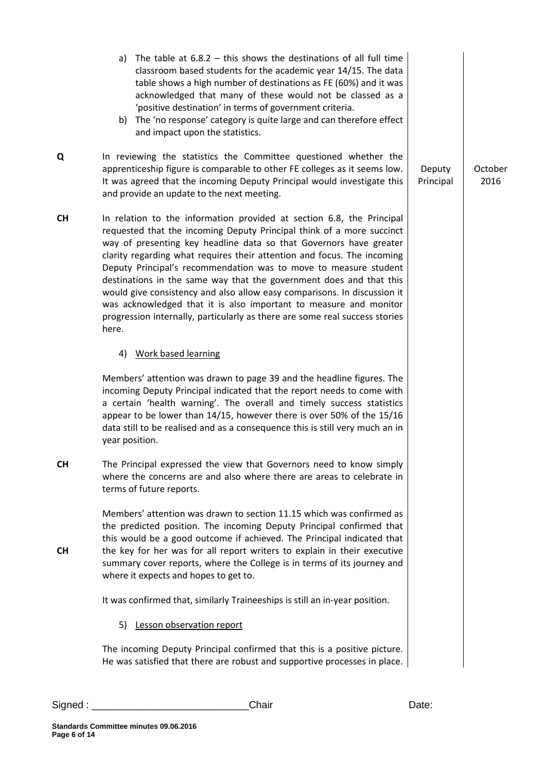|           | a) The table at $6.8.2 -$ this shows the destinations of all full time<br>classroom based students for the academic year 14/15. The data<br>table shows a high number of destinations as FE (60%) and it was<br>acknowledged that many of these would not be classed as a<br>'positive destination' in terms of government criteria.<br>b) The 'no response' category is quite large and can therefore effect<br>and impact upon the statistics.                                                                                                                                                                                                                                    |                     |                 |
|-----------|-------------------------------------------------------------------------------------------------------------------------------------------------------------------------------------------------------------------------------------------------------------------------------------------------------------------------------------------------------------------------------------------------------------------------------------------------------------------------------------------------------------------------------------------------------------------------------------------------------------------------------------------------------------------------------------|---------------------|-----------------|
| Q         | In reviewing the statistics the Committee questioned whether the<br>apprenticeship figure is comparable to other FE colleges as it seems low.<br>It was agreed that the incoming Deputy Principal would investigate this<br>and provide an update to the next meeting.                                                                                                                                                                                                                                                                                                                                                                                                              | Deputy<br>Principal | October<br>2016 |
| <b>CH</b> | In relation to the information provided at section 6.8, the Principal<br>requested that the incoming Deputy Principal think of a more succinct<br>way of presenting key headline data so that Governors have greater<br>clarity regarding what requires their attention and focus. The incoming<br>Deputy Principal's recommendation was to move to measure student<br>destinations in the same way that the government does and that this<br>would give consistency and also allow easy comparisons. In discussion it<br>was acknowledged that it is also important to measure and monitor<br>progression internally, particularly as there are some real success stories<br>here. |                     |                 |
|           | 4) Work based learning                                                                                                                                                                                                                                                                                                                                                                                                                                                                                                                                                                                                                                                              |                     |                 |
|           | Members' attention was drawn to page 39 and the headline figures. The<br>incoming Deputy Principal indicated that the report needs to come with<br>a certain 'health warning'. The overall and timely success statistics<br>appear to be lower than 14/15, however there is over 50% of the 15/16<br>data still to be realised and as a consequence this is still very much an in<br>year position.                                                                                                                                                                                                                                                                                 |                     |                 |
| <b>CH</b> | The Principal expressed the view that Governors need to know simply<br>where the concerns are and also where there are areas to celebrate in<br>terms of future reports.                                                                                                                                                                                                                                                                                                                                                                                                                                                                                                            |                     |                 |
| <b>CH</b> | Members' attention was drawn to section 11.15 which was confirmed as<br>the predicted position. The incoming Deputy Principal confirmed that<br>this would be a good outcome if achieved. The Principal indicated that<br>the key for her was for all report writers to explain in their executive<br>summary cover reports, where the College is in terms of its journey and<br>where it expects and hopes to get to.                                                                                                                                                                                                                                                              |                     |                 |
|           | It was confirmed that, similarly Traineeships is still an in-year position.                                                                                                                                                                                                                                                                                                                                                                                                                                                                                                                                                                                                         |                     |                 |
|           | 5) Lesson observation report                                                                                                                                                                                                                                                                                                                                                                                                                                                                                                                                                                                                                                                        |                     |                 |
|           | The incoming Deputy Principal confirmed that this is a positive picture.<br>He was satisfied that there are robust and supportive processes in place.                                                                                                                                                                                                                                                                                                                                                                                                                                                                                                                               |                     |                 |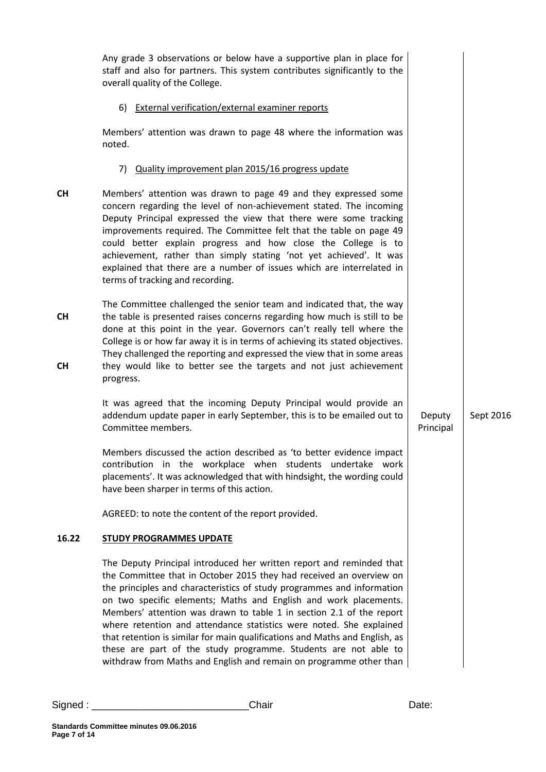|                        | Any grade 3 observations or below have a supportive plan in place for<br>staff and also for partners. This system contributes significantly to the<br>overall quality of the College.                                                                                                                                                                                                                                                                                                                                                                                                                                                                            |                     |           |
|------------------------|------------------------------------------------------------------------------------------------------------------------------------------------------------------------------------------------------------------------------------------------------------------------------------------------------------------------------------------------------------------------------------------------------------------------------------------------------------------------------------------------------------------------------------------------------------------------------------------------------------------------------------------------------------------|---------------------|-----------|
|                        | 6) External verification/external examiner reports                                                                                                                                                                                                                                                                                                                                                                                                                                                                                                                                                                                                               |                     |           |
|                        | Members' attention was drawn to page 48 where the information was<br>noted.                                                                                                                                                                                                                                                                                                                                                                                                                                                                                                                                                                                      |                     |           |
|                        | 7) Quality improvement plan 2015/16 progress update                                                                                                                                                                                                                                                                                                                                                                                                                                                                                                                                                                                                              |                     |           |
| <b>CH</b>              | Members' attention was drawn to page 49 and they expressed some<br>concern regarding the level of non-achievement stated. The incoming<br>Deputy Principal expressed the view that there were some tracking<br>improvements required. The Committee felt that the table on page 49<br>could better explain progress and how close the College is to<br>achievement, rather than simply stating 'not yet achieved'. It was<br>explained that there are a number of issues which are interrelated in<br>terms of tracking and recording.                                                                                                                           |                     |           |
| <b>CH</b><br><b>CH</b> | The Committee challenged the senior team and indicated that, the way<br>the table is presented raises concerns regarding how much is still to be<br>done at this point in the year. Governors can't really tell where the<br>College is or how far away it is in terms of achieving its stated objectives.<br>They challenged the reporting and expressed the view that in some areas<br>they would like to better see the targets and not just achievement<br>progress.                                                                                                                                                                                         |                     |           |
|                        | It was agreed that the incoming Deputy Principal would provide an<br>addendum update paper in early September, this is to be emailed out to<br>Committee members.                                                                                                                                                                                                                                                                                                                                                                                                                                                                                                | Deputy<br>Principal | Sept 2016 |
|                        | Members discussed the action described as 'to better evidence impact<br>contribution in the workplace when students undertake work<br>placements'. It was acknowledged that with hindsight, the wording could<br>have been sharper in terms of this action.                                                                                                                                                                                                                                                                                                                                                                                                      |                     |           |
|                        | AGREED: to note the content of the report provided.                                                                                                                                                                                                                                                                                                                                                                                                                                                                                                                                                                                                              |                     |           |
| 16.22                  | <b>STUDY PROGRAMMES UPDATE</b>                                                                                                                                                                                                                                                                                                                                                                                                                                                                                                                                                                                                                                   |                     |           |
|                        | The Deputy Principal introduced her written report and reminded that<br>the Committee that in October 2015 they had received an overview on<br>the principles and characteristics of study programmes and information<br>on two specific elements; Maths and English and work placements.<br>Members' attention was drawn to table 1 in section 2.1 of the report<br>where retention and attendance statistics were noted. She explained<br>that retention is similar for main qualifications and Maths and English, as<br>these are part of the study programme. Students are not able to<br>withdraw from Maths and English and remain on programme other than |                     |           |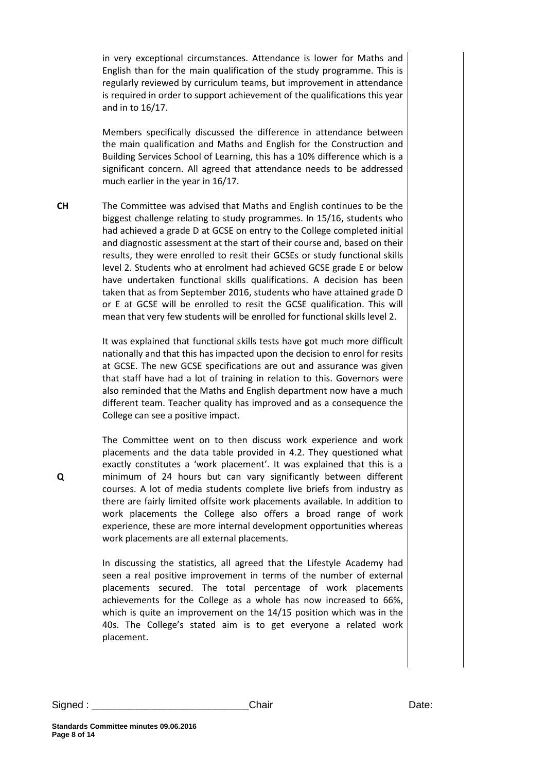in very exceptional circumstances. Attendance is lower for Maths and English than for the main qualification of the study programme. This is regularly reviewed by curriculum teams, but improvement in attendance is required in order to support achievement of the qualifications this year and in to 16/17.

Members specifically discussed the difference in attendance between the main qualification and Maths and English for the Construction and Building Services School of Learning, this has a 10% difference which is a significant concern. All agreed that attendance needs to be addressed much earlier in the year in 16/17.

**CH** The Committee was advised that Maths and English continues to be the biggest challenge relating to study programmes. In 15/16, students who had achieved a grade D at GCSE on entry to the College completed initial and diagnostic assessment at the start of their course and, based on their results, they were enrolled to resit their GCSEs or study functional skills level 2. Students who at enrolment had achieved GCSE grade E or below have undertaken functional skills qualifications. A decision has been taken that as from September 2016, students who have attained grade D or E at GCSE will be enrolled to resit the GCSE qualification. This will mean that very few students will be enrolled for functional skills level 2.

> It was explained that functional skills tests have got much more difficult nationally and that this has impacted upon the decision to enrol for resits at GCSE. The new GCSE specifications are out and assurance was given that staff have had a lot of training in relation to this. Governors were also reminded that the Maths and English department now have a much different team. Teacher quality has improved and as a consequence the College can see a positive impact.

> The Committee went on to then discuss work experience and work placements and the data table provided in 4.2. They questioned what exactly constitutes a 'work placement'. It was explained that this is a minimum of 24 hours but can vary significantly between different courses. A lot of media students complete live briefs from industry as there are fairly limited offsite work placements available. In addition to work placements the College also offers a broad range of work experience, these are more internal development opportunities whereas work placements are all external placements.

> In discussing the statistics, all agreed that the Lifestyle Academy had seen a real positive improvement in terms of the number of external placements secured. The total percentage of work placements achievements for the College as a whole has now increased to 66%, which is quite an improvement on the 14/15 position which was in the 40s. The College's stated aim is to get everyone a related work placement.

**Page 8 of 14**

**Standards Committee minutes 09.06.2016**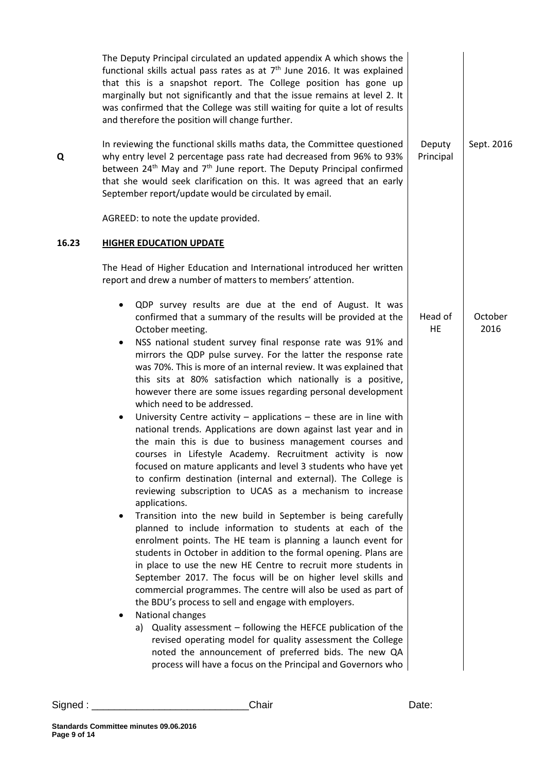|       | The Deputy Principal circulated an updated appendix A which shows the<br>functional skills actual pass rates as at $7th$ June 2016. It was explained<br>that this is a snapshot report. The College position has gone up<br>marginally but not significantly and that the issue remains at level 2. It<br>was confirmed that the College was still waiting for quite a lot of results<br>and therefore the position will change further.                                                                                                                                                                                                                                                                                                                                                                                                                                                                                                                                                                                                                                                                                                                                                                                                                                                                                                                                                                                                                                                                                                                                                                                                                                                                                                                                                                                                  |                     |                 |
|-------|-------------------------------------------------------------------------------------------------------------------------------------------------------------------------------------------------------------------------------------------------------------------------------------------------------------------------------------------------------------------------------------------------------------------------------------------------------------------------------------------------------------------------------------------------------------------------------------------------------------------------------------------------------------------------------------------------------------------------------------------------------------------------------------------------------------------------------------------------------------------------------------------------------------------------------------------------------------------------------------------------------------------------------------------------------------------------------------------------------------------------------------------------------------------------------------------------------------------------------------------------------------------------------------------------------------------------------------------------------------------------------------------------------------------------------------------------------------------------------------------------------------------------------------------------------------------------------------------------------------------------------------------------------------------------------------------------------------------------------------------------------------------------------------------------------------------------------------------|---------------------|-----------------|
| Q     | In reviewing the functional skills maths data, the Committee questioned<br>why entry level 2 percentage pass rate had decreased from 96% to 93%<br>between 24 <sup>th</sup> May and 7 <sup>th</sup> June report. The Deputy Principal confirmed<br>that she would seek clarification on this. It was agreed that an early<br>September report/update would be circulated by email.                                                                                                                                                                                                                                                                                                                                                                                                                                                                                                                                                                                                                                                                                                                                                                                                                                                                                                                                                                                                                                                                                                                                                                                                                                                                                                                                                                                                                                                        | Deputy<br>Principal | Sept. 2016      |
|       | AGREED: to note the update provided.                                                                                                                                                                                                                                                                                                                                                                                                                                                                                                                                                                                                                                                                                                                                                                                                                                                                                                                                                                                                                                                                                                                                                                                                                                                                                                                                                                                                                                                                                                                                                                                                                                                                                                                                                                                                      |                     |                 |
| 16.23 | <b>HIGHER EDUCATION UPDATE</b>                                                                                                                                                                                                                                                                                                                                                                                                                                                                                                                                                                                                                                                                                                                                                                                                                                                                                                                                                                                                                                                                                                                                                                                                                                                                                                                                                                                                                                                                                                                                                                                                                                                                                                                                                                                                            |                     |                 |
|       | The Head of Higher Education and International introduced her written<br>report and drew a number of matters to members' attention.                                                                                                                                                                                                                                                                                                                                                                                                                                                                                                                                                                                                                                                                                                                                                                                                                                                                                                                                                                                                                                                                                                                                                                                                                                                                                                                                                                                                                                                                                                                                                                                                                                                                                                       |                     |                 |
|       | QDP survey results are due at the end of August. It was<br>confirmed that a summary of the results will be provided at the<br>October meeting.<br>NSS national student survey final response rate was 91% and<br>٠<br>mirrors the QDP pulse survey. For the latter the response rate<br>was 70%. This is more of an internal review. It was explained that<br>this sits at 80% satisfaction which nationally is a positive,<br>however there are some issues regarding personal development<br>which need to be addressed.<br>University Centre activity $-$ applications $-$ these are in line with<br>٠<br>national trends. Applications are down against last year and in<br>the main this is due to business management courses and<br>courses in Lifestyle Academy. Recruitment activity is now<br>focused on mature applicants and level 3 students who have yet<br>to confirm destination (internal and external). The College is<br>reviewing subscription to UCAS as a mechanism to increase<br>applications.<br>Transition into the new build in September is being carefully<br>٠<br>planned to include information to students at each of the<br>enrolment points. The HE team is planning a launch event for<br>students in October in addition to the formal opening. Plans are<br>in place to use the new HE Centre to recruit more students in<br>September 2017. The focus will be on higher level skills and<br>commercial programmes. The centre will also be used as part of<br>the BDU's process to sell and engage with employers.<br>National changes<br>٠<br>a) Quality assessment - following the HEFCE publication of the<br>revised operating model for quality assessment the College<br>noted the announcement of preferred bids. The new QA<br>process will have a focus on the Principal and Governors who | Head of<br>HE       | October<br>2016 |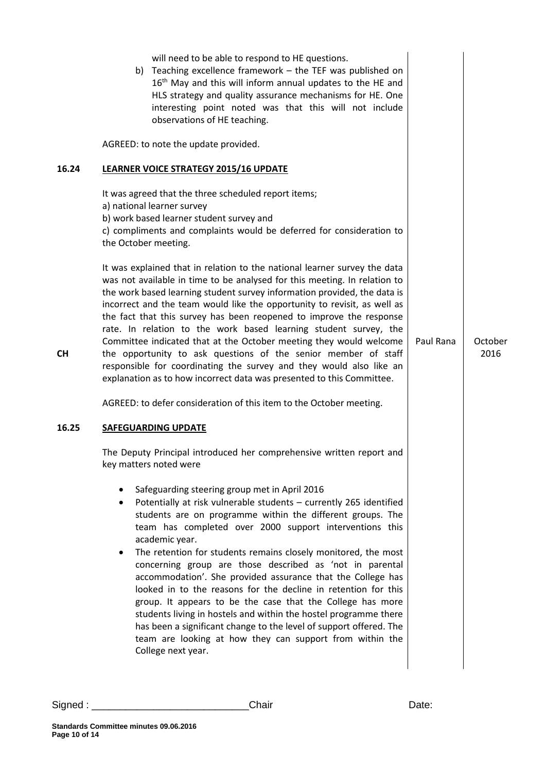| will need to be able to respond to HE questions.<br>b) Teaching excellence framework - the TEF was published on<br>16 <sup>th</sup> May and this will inform annual updates to the HE and<br>HLS strategy and quality assurance mechanisms for HE. One<br>interesting point noted was that this will not include<br>observations of HE teaching.<br>AGREED: to note the update provided.<br>16.24<br>LEARNER VOICE STRATEGY 2015/16 UPDATE<br>It was agreed that the three scheduled report items;<br>a) national learner survey<br>b) work based learner student survey and<br>c) compliments and complaints would be deferred for consideration to<br>the October meeting.<br>It was explained that in relation to the national learner survey the data<br>was not available in time to be analysed for this meeting. In relation to<br>the work based learning student survey information provided, the data is<br>incorrect and the team would like the opportunity to revisit, as well as<br>the fact that this survey has been reopened to improve the response<br>rate. In relation to the work based learning student survey, the<br>Committee indicated that at the October meeting they would welcome<br>Paul Rana<br>October<br>the opportunity to ask questions of the senior member of staff<br>2016<br><b>CH</b><br>responsible for coordinating the survey and they would also like an<br>explanation as to how incorrect data was presented to this Committee.<br>AGREED: to defer consideration of this item to the October meeting.<br>16.25<br><b>SAFEGUARDING UPDATE</b><br>The Deputy Principal introduced her comprehensive written report and<br>key matters noted were<br>Safeguarding steering group met in April 2016<br>Potentially at risk vulnerable students - currently 265 identified<br>students are on programme within the different groups. The<br>team has completed over 2000 support interventions this<br>academic year.<br>The retention for students remains closely monitored, the most<br>$\bullet$<br>concerning group are those described as 'not in parental<br>accommodation'. She provided assurance that the College has<br>looked in to the reasons for the decline in retention for this<br>group. It appears to be the case that the College has more<br>students living in hostels and within the hostel programme there<br>has been a significant change to the level of support offered. The<br>team are looking at how they can support from within the<br>College next year. |  |  |
|----------------------------------------------------------------------------------------------------------------------------------------------------------------------------------------------------------------------------------------------------------------------------------------------------------------------------------------------------------------------------------------------------------------------------------------------------------------------------------------------------------------------------------------------------------------------------------------------------------------------------------------------------------------------------------------------------------------------------------------------------------------------------------------------------------------------------------------------------------------------------------------------------------------------------------------------------------------------------------------------------------------------------------------------------------------------------------------------------------------------------------------------------------------------------------------------------------------------------------------------------------------------------------------------------------------------------------------------------------------------------------------------------------------------------------------------------------------------------------------------------------------------------------------------------------------------------------------------------------------------------------------------------------------------------------------------------------------------------------------------------------------------------------------------------------------------------------------------------------------------------------------------------------------------------------------------------------------------------------------------------------------------------------------------------------------------------------------------------------------------------------------------------------------------------------------------------------------------------------------------------------------------------------------------------------------------------------------------------------------------------------------------------------------------------------------------------------------------------------------------------------------------------------------|--|--|
|                                                                                                                                                                                                                                                                                                                                                                                                                                                                                                                                                                                                                                                                                                                                                                                                                                                                                                                                                                                                                                                                                                                                                                                                                                                                                                                                                                                                                                                                                                                                                                                                                                                                                                                                                                                                                                                                                                                                                                                                                                                                                                                                                                                                                                                                                                                                                                                                                                                                                                                                        |  |  |
|                                                                                                                                                                                                                                                                                                                                                                                                                                                                                                                                                                                                                                                                                                                                                                                                                                                                                                                                                                                                                                                                                                                                                                                                                                                                                                                                                                                                                                                                                                                                                                                                                                                                                                                                                                                                                                                                                                                                                                                                                                                                                                                                                                                                                                                                                                                                                                                                                                                                                                                                        |  |  |
|                                                                                                                                                                                                                                                                                                                                                                                                                                                                                                                                                                                                                                                                                                                                                                                                                                                                                                                                                                                                                                                                                                                                                                                                                                                                                                                                                                                                                                                                                                                                                                                                                                                                                                                                                                                                                                                                                                                                                                                                                                                                                                                                                                                                                                                                                                                                                                                                                                                                                                                                        |  |  |
|                                                                                                                                                                                                                                                                                                                                                                                                                                                                                                                                                                                                                                                                                                                                                                                                                                                                                                                                                                                                                                                                                                                                                                                                                                                                                                                                                                                                                                                                                                                                                                                                                                                                                                                                                                                                                                                                                                                                                                                                                                                                                                                                                                                                                                                                                                                                                                                                                                                                                                                                        |  |  |
|                                                                                                                                                                                                                                                                                                                                                                                                                                                                                                                                                                                                                                                                                                                                                                                                                                                                                                                                                                                                                                                                                                                                                                                                                                                                                                                                                                                                                                                                                                                                                                                                                                                                                                                                                                                                                                                                                                                                                                                                                                                                                                                                                                                                                                                                                                                                                                                                                                                                                                                                        |  |  |
|                                                                                                                                                                                                                                                                                                                                                                                                                                                                                                                                                                                                                                                                                                                                                                                                                                                                                                                                                                                                                                                                                                                                                                                                                                                                                                                                                                                                                                                                                                                                                                                                                                                                                                                                                                                                                                                                                                                                                                                                                                                                                                                                                                                                                                                                                                                                                                                                                                                                                                                                        |  |  |
|                                                                                                                                                                                                                                                                                                                                                                                                                                                                                                                                                                                                                                                                                                                                                                                                                                                                                                                                                                                                                                                                                                                                                                                                                                                                                                                                                                                                                                                                                                                                                                                                                                                                                                                                                                                                                                                                                                                                                                                                                                                                                                                                                                                                                                                                                                                                                                                                                                                                                                                                        |  |  |
|                                                                                                                                                                                                                                                                                                                                                                                                                                                                                                                                                                                                                                                                                                                                                                                                                                                                                                                                                                                                                                                                                                                                                                                                                                                                                                                                                                                                                                                                                                                                                                                                                                                                                                                                                                                                                                                                                                                                                                                                                                                                                                                                                                                                                                                                                                                                                                                                                                                                                                                                        |  |  |
|                                                                                                                                                                                                                                                                                                                                                                                                                                                                                                                                                                                                                                                                                                                                                                                                                                                                                                                                                                                                                                                                                                                                                                                                                                                                                                                                                                                                                                                                                                                                                                                                                                                                                                                                                                                                                                                                                                                                                                                                                                                                                                                                                                                                                                                                                                                                                                                                                                                                                                                                        |  |  |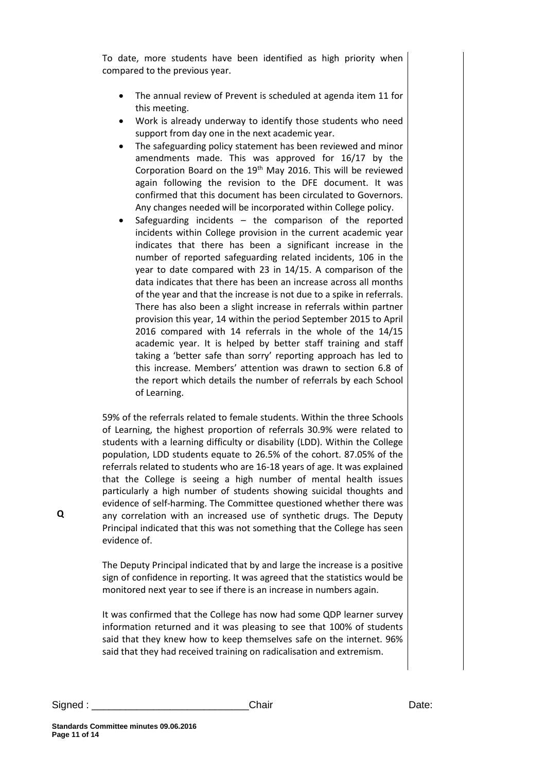To date, more students have been identified as high priority when compared to the previous year.

- The annual review of Prevent is scheduled at agenda item 11 for this meeting.
- Work is already underway to identify those students who need support from day one in the next academic year.
- The safeguarding policy statement has been reviewed and minor amendments made. This was approved for 16/17 by the Corporation Board on the  $19<sup>th</sup>$  May 2016. This will be reviewed again following the revision to the DFE document. It was confirmed that this document has been circulated to Governors. Any changes needed will be incorporated within College policy.
- Safeguarding incidents  $-$  the comparison of the reported incidents within College provision in the current academic year indicates that there has been a significant increase in the number of reported safeguarding related incidents, 106 in the year to date compared with 23 in 14/15. A comparison of the data indicates that there has been an increase across all months of the year and that the increase is not due to a spike in referrals. There has also been a slight increase in referrals within partner provision this year, 14 within the period September 2015 to April 2016 compared with 14 referrals in the whole of the 14/15 academic year. It is helped by better staff training and staff taking a 'better safe than sorry' reporting approach has led to this increase. Members' attention was drawn to section 6.8 of the report which details the number of referrals by each School of Learning.

59% of the referrals related to female students. Within the three Schools of Learning, the highest proportion of referrals 30.9% were related to students with a learning difficulty or disability (LDD). Within the College population, LDD students equate to 26.5% of the cohort. 87.05% of the referrals related to students who are 16-18 years of age. It was explained that the College is seeing a high number of mental health issues particularly a high number of students showing suicidal thoughts and evidence of self-harming. The Committee questioned whether there was any correlation with an increased use of synthetic drugs. The Deputy Principal indicated that this was not something that the College has seen evidence of.

The Deputy Principal indicated that by and large the increase is a positive sign of confidence in reporting. It was agreed that the statistics would be monitored next year to see if there is an increase in numbers again.

It was confirmed that the College has now had some QDP learner survey information returned and it was pleasing to see that 100% of students said that they knew how to keep themselves safe on the internet. 96% said that they had received training on radicalisation and extremism.

Signed : \_\_\_\_\_\_\_\_\_\_\_\_\_\_\_\_\_\_\_\_\_\_\_\_\_\_\_\_Chair Date: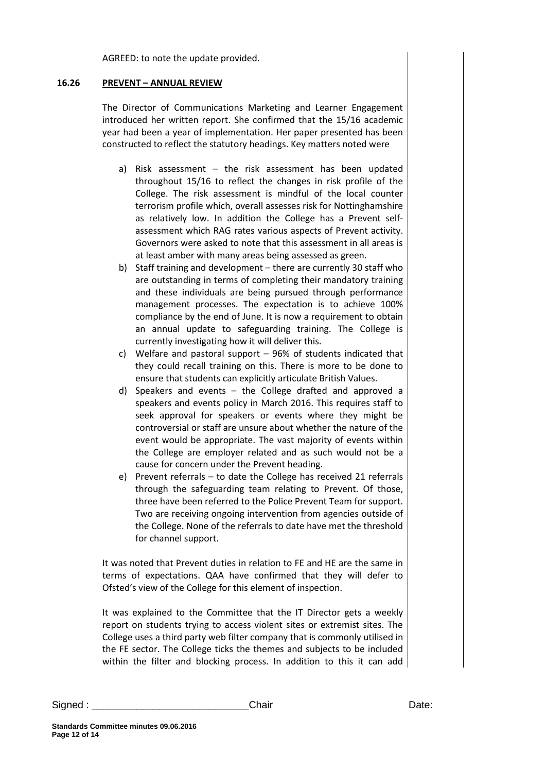AGREED: to note the update provided.

#### **16.26 PREVENT – ANNUAL REVIEW**

The Director of Communications Marketing and Learner Engagement introduced her written report. She confirmed that the 15/16 academic year had been a year of implementation. Her paper presented has been constructed to reflect the statutory headings. Key matters noted were

- a) Risk assessment the risk assessment has been updated throughout 15/16 to reflect the changes in risk profile of the College. The risk assessment is mindful of the local counter terrorism profile which, overall assesses risk for Nottinghamshire as relatively low. In addition the College has a Prevent selfassessment which RAG rates various aspects of Prevent activity. Governors were asked to note that this assessment in all areas is at least amber with many areas being assessed as green.
- b) Staff training and development there are currently 30 staff who are outstanding in terms of completing their mandatory training and these individuals are being pursued through performance management processes. The expectation is to achieve 100% compliance by the end of June. It is now a requirement to obtain an annual update to safeguarding training. The College is currently investigating how it will deliver this.
- c) Welfare and pastoral support 96% of students indicated that they could recall training on this. There is more to be done to ensure that students can explicitly articulate British Values.
- d) Speakers and events the College drafted and approved a speakers and events policy in March 2016. This requires staff to seek approval for speakers or events where they might be controversial or staff are unsure about whether the nature of the event would be appropriate. The vast majority of events within the College are employer related and as such would not be a cause for concern under the Prevent heading.
- e) Prevent referrals to date the College has received 21 referrals through the safeguarding team relating to Prevent. Of those, three have been referred to the Police Prevent Team for support. Two are receiving ongoing intervention from agencies outside of the College. None of the referrals to date have met the threshold for channel support.

It was noted that Prevent duties in relation to FE and HE are the same in terms of expectations. QAA have confirmed that they will defer to Ofsted's view of the College for this element of inspection.

It was explained to the Committee that the IT Director gets a weekly report on students trying to access violent sites or extremist sites. The College uses a third party web filter company that is commonly utilised in the FE sector. The College ticks the themes and subjects to be included within the filter and blocking process. In addition to this it can add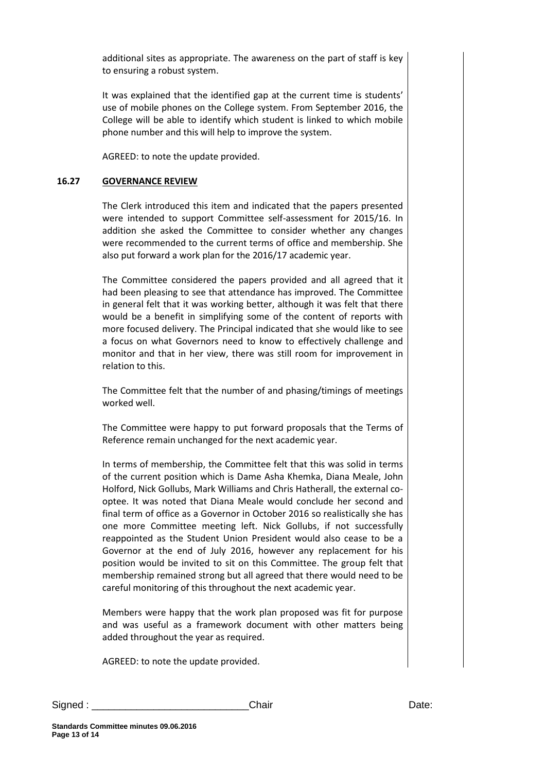additional sites as appropriate. The awareness on the part of staff is key to ensuring a robust system.

It was explained that the identified gap at the current time is students' use of mobile phones on the College system. From September 2016, the College will be able to identify which student is linked to which mobile phone number and this will help to improve the system.

AGREED: to note the update provided.

#### **16.27 GOVERNANCE REVIEW**

The Clerk introduced this item and indicated that the papers presented were intended to support Committee self-assessment for 2015/16. In addition she asked the Committee to consider whether any changes were recommended to the current terms of office and membership. She also put forward a work plan for the 2016/17 academic year.

The Committee considered the papers provided and all agreed that it had been pleasing to see that attendance has improved. The Committee in general felt that it was working better, although it was felt that there would be a benefit in simplifying some of the content of reports with more focused delivery. The Principal indicated that she would like to see a focus on what Governors need to know to effectively challenge and monitor and that in her view, there was still room for improvement in relation to this.

The Committee felt that the number of and phasing/timings of meetings worked well.

The Committee were happy to put forward proposals that the Terms of Reference remain unchanged for the next academic year.

In terms of membership, the Committee felt that this was solid in terms of the current position which is Dame Asha Khemka, Diana Meale, John Holford, Nick Gollubs, Mark Williams and Chris Hatherall, the external cooptee. It was noted that Diana Meale would conclude her second and final term of office as a Governor in October 2016 so realistically she has one more Committee meeting left. Nick Gollubs, if not successfully reappointed as the Student Union President would also cease to be a Governor at the end of July 2016, however any replacement for his position would be invited to sit on this Committee. The group felt that membership remained strong but all agreed that there would need to be careful monitoring of this throughout the next academic year.

Members were happy that the work plan proposed was fit for purpose and was useful as a framework document with other matters being added throughout the year as required.

AGREED: to note the update provided.

Signed : \_\_\_\_\_\_\_\_\_\_\_\_\_\_\_\_\_\_\_\_\_\_\_\_\_\_\_\_Chair Date: